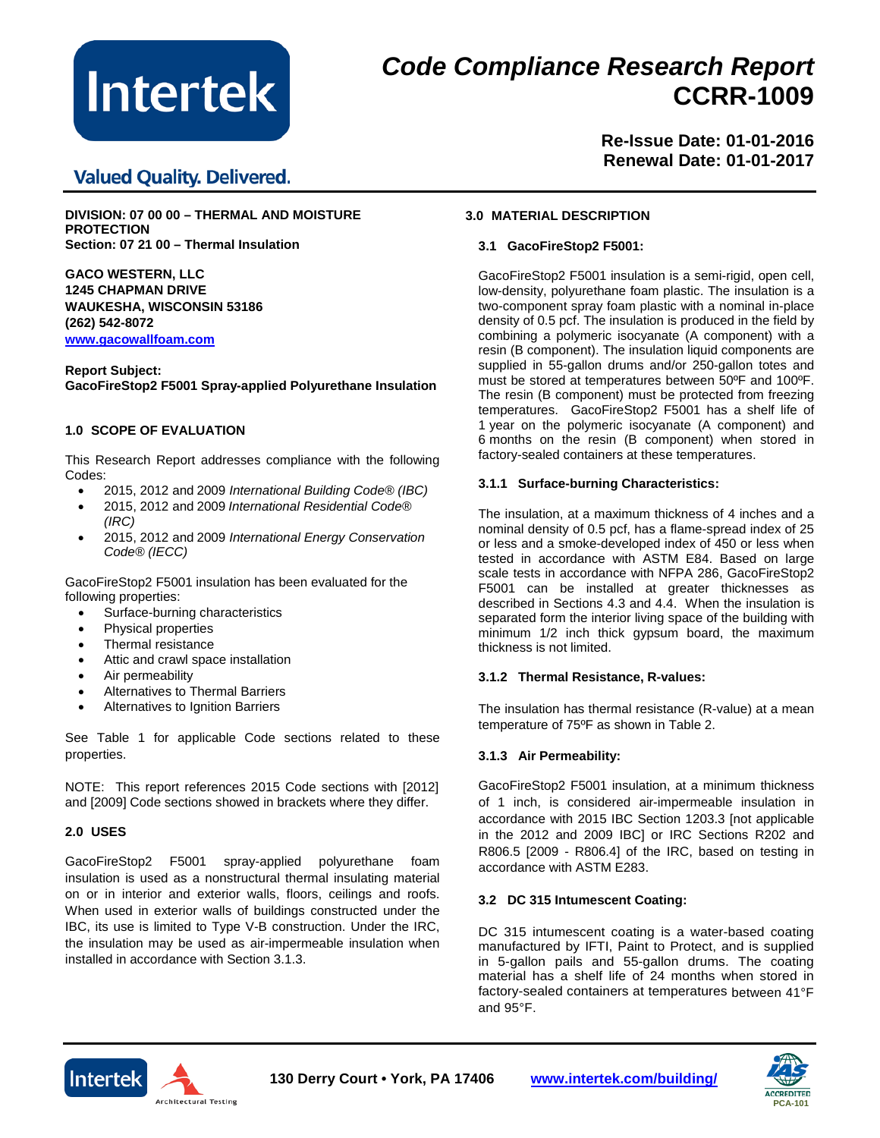

# *Code Compliance Research Report* **CCRR-1009**

**Valued Quality. Delivered.** 

**Re-Issue Date: 01-01-2016 Renewal Date: 01-01-2017**

**DIVISION: 07 00 00 – THERMAL AND MOISTURE PROTECTION Section: 07 21 00 – Thermal Insulation** 

**GACO WESTERN, LLC 1245 CHAPMAN DRIVE WAUKESHA, WISCONSIN 53186 (262) 542-8072 [www.gacowallfoam.com](http://www.gacowallfoam.com/)**

**Report Subject: GacoFireStop2 F5001 Spray-applied Polyurethane Insulation**

# **1.0 SCOPE OF EVALUATION**

This Research Report addresses compliance with the following Codes:

- 2015, 2012 and 2009 *International Building Code® (IBC)*
- 2015, 2012 and 2009 *International Residential Code® (IRC)*
- 2015, 2012 and 2009 *International Energy Conservation Code® (IECC)*

GacoFireStop2 F5001 insulation has been evaluated for the following properties:

- Surface-burning characteristics
- Physical properties
- Thermal resistance
- Attic and crawl space installation
- Air permeability
- Alternatives to Thermal Barriers
- Alternatives to Ignition Barriers

See Table 1 for applicable Code sections related to these properties.

NOTE: This report references 2015 Code sections with [2012] and [2009] Code sections showed in brackets where they differ.

# **2.0 USES**

GacoFireStop2 F5001 spray-applied polyurethane foam insulation is used as a nonstructural thermal insulating material on or in interior and exterior walls, floors, ceilings and roofs. When used in exterior walls of buildings constructed under the IBC, its use is limited to Type V-B construction. Under the IRC, the insulation may be used as air-impermeable insulation when installed in accordance with Section 3.1.3.

# **3.0 MATERIAL DESCRIPTION**

# **3.1 GacoFireStop2 F5001:**

GacoFireStop2 F5001 insulation is a semi-rigid, open cell, low-density, polyurethane foam plastic. The insulation is a two-component spray foam plastic with a nominal in-place density of 0.5 pcf. The insulation is produced in the field by combining a polymeric isocyanate (A component) with a resin (B component). The insulation liquid components are supplied in 55-gallon drums and/or 250-gallon totes and must be stored at temperatures between 50ºF and 100ºF. The resin (B component) must be protected from freezing temperatures. GacoFireStop2 F5001 has a shelf life of 1 year on the polymeric isocyanate (A component) and 6 months on the resin (B component) when stored in factory-sealed containers at these temperatures.

# **3.1.1 Surface-burning Characteristics:**

The insulation, at a maximum thickness of 4 inches and a nominal density of 0.5 pcf, has a flame-spread index of 25 or less and a smoke-developed index of 450 or less when tested in accordance with ASTM E84. Based on large scale tests in accordance with NFPA 286, GacoFireStop2 F5001 can be installed at greater thicknesses as described in Sections 4.3 and 4.4. When the insulation is separated form the interior living space of the building with minimum 1/2 inch thick gypsum board, the maximum thickness is not limited.

# **3.1.2 Thermal Resistance, R-values:**

The insulation has thermal resistance (R-value) at a mean temperature of 75ºF as shown in Table 2.

# **3.1.3 Air Permeability:**

GacoFireStop2 F5001 insulation, at a minimum thickness of 1 inch, is considered air-impermeable insulation in accordance with 2015 IBC Section 1203.3 [not applicable in the 2012 and 2009 IBC] or IRC Sections R202 and R806.5 [2009 - R806.4] of the IRC, based on testing in accordance with ASTM E283.

### **3.2 DC 315 Intumescent Coating:**

DC 315 intumescent coating is a water-based coating manufactured by IFTI, Paint to Protect, and is supplied in 5-gallon pails and 55-gallon drums. The coating material has a shelf life of 24 months when stored in factory-sealed containers at temperatures between 41°F and 95°F.





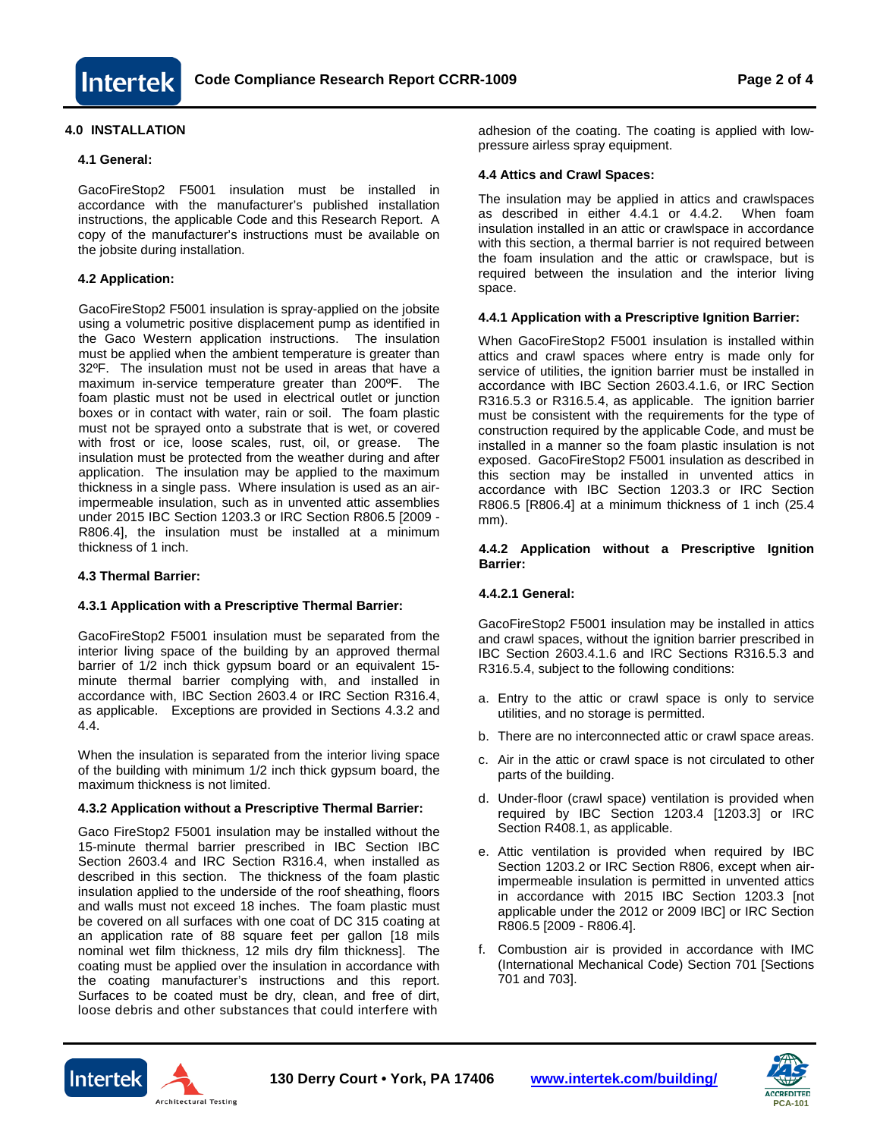

# **4.0 INSTALLATION**

#### **4.1 General:**

GacoFireStop2 F5001 insulation must be installed in accordance with the manufacturer's published installation instructions, the applicable Code and this Research Report. A copy of the manufacturer's instructions must be available on the jobsite during installation.

### **4.2 Application:**

GacoFireStop2 F5001 insulation is spray-applied on the jobsite using a volumetric positive displacement pump as identified in the Gaco Western application instructions. The insulation must be applied when the ambient temperature is greater than 32ºF. The insulation must not be used in areas that have a maximum in-service temperature greater than 200ºF. The foam plastic must not be used in electrical outlet or junction boxes or in contact with water, rain or soil. The foam plastic must not be sprayed onto a substrate that is wet, or covered with frost or ice, loose scales, rust, oil, or grease. The insulation must be protected from the weather during and after application. The insulation may be applied to the maximum thickness in a single pass. Where insulation is used as an airimpermeable insulation, such as in unvented attic assemblies under 2015 IBC Section 1203.3 or IRC Section R806.5 [2009 - R806.4], the insulation must be installed at a minimum thickness of 1 inch.

### **4.3 Thermal Barrier:**

### **4.3.1 Application with a Prescriptive Thermal Barrier:**

GacoFireStop2 F5001 insulation must be separated from the interior living space of the building by an approved thermal barrier of 1/2 inch thick gypsum board or an equivalent 15 minute thermal barrier complying with, and installed in accordance with, IBC Section 2603.4 or IRC Section R316.4, as applicable. Exceptions are provided in Sections 4.3.2 and 4.4.

When the insulation is separated from the interior living space of the building with minimum 1/2 inch thick gypsum board, the maximum thickness is not limited.

#### **4.3.2 Application without a Prescriptive Thermal Barrier:**

Gaco FireStop2 F5001 insulation may be installed without the 15-minute thermal barrier prescribed in IBC Section IBC Section 2603.4 and IRC Section R316.4, when installed as described in this section. The thickness of the foam plastic insulation applied to the underside of the roof sheathing, floors and walls must not exceed 18 inches. The foam plastic must be covered on all surfaces with one coat of DC 315 coating at an application rate of 88 square feet per gallon [18 mils nominal wet film thickness, 12 mils dry film thickness]. The coating must be applied over the insulation in accordance with the coating manufacturer's instructions and this report. Surfaces to be coated must be dry, clean, and free of dirt, loose debris and other substances that could interfere with

adhesion of the coating. The coating is applied with lowpressure airless spray equipment.

### **4.4 Attics and Crawl Spaces:**

The insulation may be applied in attics and crawlspaces as described in either 4.4.1 or 4.4.2. When foam insulation installed in an attic or crawlspace in accordance with this section, a thermal barrier is not required between the foam insulation and the attic or crawlspace, but is required between the insulation and the interior living space.

#### **4.4.1 Application with a Prescriptive Ignition Barrier:**

When GacoFireStop2 F5001 insulation is installed within attics and crawl spaces where entry is made only for service of utilities, the ignition barrier must be installed in accordance with IBC Section 2603.4.1.6, or IRC Section R316.5.3 or R316.5.4, as applicable. The ignition barrier must be consistent with the requirements for the type of construction required by the applicable Code, and must be installed in a manner so the foam plastic insulation is not exposed. GacoFireStop2 F5001 insulation as described in this section may be installed in unvented attics in accordance with IBC Section 1203.3 or IRC Section R806.5 [R806.4] at a minimum thickness of 1 inch (25.4 mm).

#### **4.4.2 Application without a Prescriptive Ignition Barrier:**

# **4.4.2.1 General:**

GacoFireStop2 F5001 insulation may be installed in attics and crawl spaces, without the ignition barrier prescribed in IBC Section 2603.4.1.6 and IRC Sections R316.5.3 and R316.5.4, subject to the following conditions:

- a. Entry to the attic or crawl space is only to service utilities, and no storage is permitted.
- b. There are no interconnected attic or crawl space areas.
- c. Air in the attic or crawl space is not circulated to other parts of the building.
- d. Under-floor (crawl space) ventilation is provided when required by IBC Section 1203.4 [1203.3] or IRC Section R408.1, as applicable.
- e. Attic ventilation is provided when required by IBC Section 1203.2 or IRC Section R806, except when airimpermeable insulation is permitted in unvented attics in accordance with 2015 IBC Section 1203.3 [not applicable under the 2012 or 2009 IBC] or IRC Section R806.5 [2009 - R806.4].
- f. Combustion air is provided in accordance with IMC (International Mechanical Code) Section 701 [Sections 701 and 703].



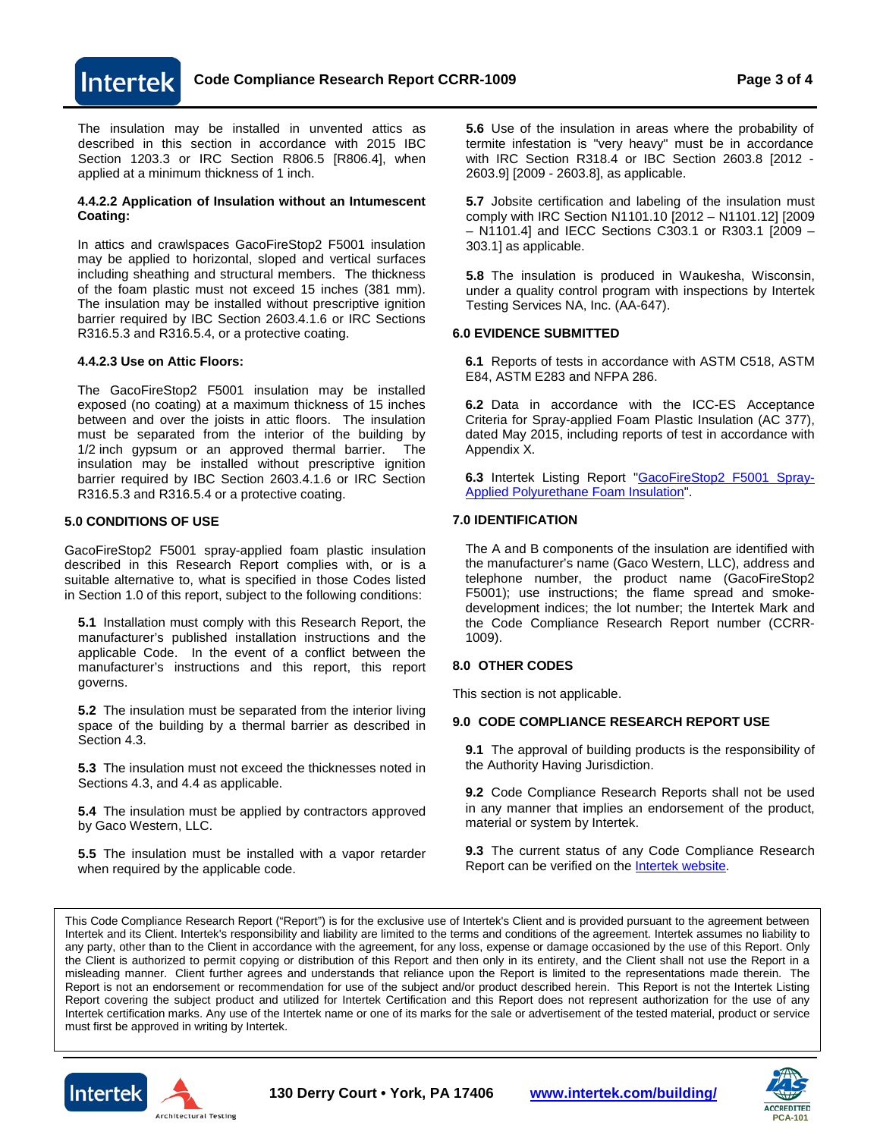**Code Compliance Research Report CCRR-1009 Page 3 of 4**

The insulation may be installed in unvented attics as described in this section in accordance with 2015 IBC Section 1203.3 or IRC Section R806.5 [R806.4], when applied at a minimum thickness of 1 inch.

#### **4.4.2.2 Application of Insulation without an Intumescent Coating:**

In attics and crawlspaces GacoFireStop2 F5001 insulation may be applied to horizontal, sloped and vertical surfaces including sheathing and structural members. The thickness of the foam plastic must not exceed 15 inches (381 mm). The insulation may be installed without prescriptive ignition barrier required by IBC Section 2603.4.1.6 or IRC Sections R316.5.3 and R316.5.4, or a protective coating.

#### **4.4.2.3 Use on Attic Floors:**

**Intertek** 

The GacoFireStop2 F5001 insulation may be installed exposed (no coating) at a maximum thickness of 15 inches between and over the joists in attic floors. The insulation must be separated from the interior of the building by 1/2 inch gypsum or an approved thermal barrier. The insulation may be installed without prescriptive ignition barrier required by IBC Section 2603.4.1.6 or IRC Section R316.5.3 and R316.5.4 or a protective coating.

#### **5.0 CONDITIONS OF USE**

GacoFireStop2 F5001 spray-applied foam plastic insulation described in this Research Report complies with, or is a suitable alternative to, what is specified in those Codes listed in Section 1.0 of this report, subject to the following conditions:

**5.1** Installation must comply with this Research Report, the manufacturer's published installation instructions and the applicable Code. In the event of a conflict between the manufacturer's instructions and this report, this report governs.

**5.2** The insulation must be separated from the interior living space of the building by a thermal barrier as described in Section 4.3.

**5.3** The insulation must not exceed the thicknesses noted in Sections 4.3, and 4.4 as applicable.

**5.4** The insulation must be applied by contractors approved by Gaco Western, LLC.

**5.5** The insulation must be installed with a vapor retarder when required by the applicable code.

**5.6** Use of the insulation in areas where the probability of termite infestation is "very heavy" must be in accordance with IRC Section R318.4 or IBC Section 2603.8 [2012 - 2603.9] [2009 - 2603.8], as applicable.

**5.7** Jobsite certification and labeling of the insulation must comply with IRC Section N1101.10 [2012 – N1101.12] [2009 – N1101.4] and IECC Sections C303.1 or R303.1 [2009 – 303.1] as applicable.

**5.8** The insulation is produced in Waukesha, Wisconsin, under a quality control program with inspections by Intertek Testing Services NA, Inc. (AA-647).

#### **6.0 EVIDENCE SUBMITTED**

**6.1** Reports of tests in accordance with ASTM C518, ASTM E84, ASTM E283 and NFPA 286.

**6.2** Data in accordance with the ICC-ES Acceptance Criteria for Spray-applied Foam Plastic Insulation (AC 377), dated May 2015, including reports of test in accordance with Appendix X.

**6.3** Intertek Listing Report ["GacoFireStop2 F5001 Spray-](https://whdirectory.intertek.com/Pages/DLP_SearchDetail.aspx?SpecID=33015)[Applied Polyurethane Foam Insulation".](https://whdirectory.intertek.com/Pages/DLP_SearchDetail.aspx?SpecID=33015)

# **7.0 IDENTIFICATION**

The A and B components of the insulation are identified with the manufacturer's name (Gaco Western, LLC), address and telephone number, the product name (GacoFireStop2 F5001); use instructions; the flame spread and smokedevelopment indices; the lot number; the Intertek Mark and the Code Compliance Research Report number (CCRR-1009).

#### **8.0 OTHER CODES**

This section is not applicable.

#### **9.0 CODE COMPLIANCE RESEARCH REPORT USE**

**9.1** The approval of building products is the responsibility of the Authority Having Jurisdiction.

**9.2** Code Compliance Research Reports shall not be used in any manner that implies an endorsement of the product, material or system by Intertek.

**9.3** The current status of any Code Compliance Research Report can be verified on the **Intertek website**.

This Code Compliance Research Report ("Report") is for the exclusive use of Intertek's Client and is provided pursuant to the agreement between Intertek and its Client. Intertek's responsibility and liability are limited to the terms and conditions of the agreement. Intertek assumes no liability to any party, other than to the Client in accordance with the agreement, for any loss, expense or damage occasioned by the use of this Report. Only the Client is authorized to permit copying or distribution of this Report and then only in its entirety, and the Client shall not use the Report in a misleading manner. Client further agrees and understands that reliance upon the Report is limited to the representations made therein. The Report is not an endorsement or recommendation for use of the subject and/or product described herein. This Report is not the Intertek Listing Report covering the subject product and utilized for Intertek Certification and this Report does not represent authorization for the use of any Intertek certification marks. Any use of the Intertek name or one of its marks for the sale or advertisement of the tested material, product or service must first be approved in writing by Intertek.





**130 Derry Court • York, PA 17406 [www.intertek.com/building/](http://www.intertek.com/building/)**